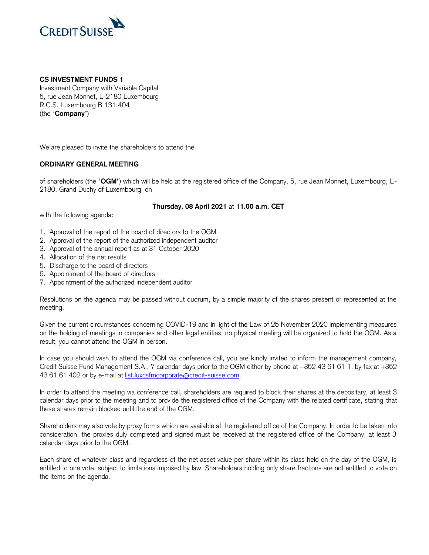

## **CS INVESTMENT FUNDS 1**

 Investment Company with Variable Capital 5, rue Jean Monnet, L-2180 Luxembourg R.C.S. Luxembourg B 131.404 (the "**Company**")

We are pleased to invite the shareholders to attend the

## **ORDINARY GENERAL MEETING**

 of shareholders (the "**OGM**") which will be held at the registered office of the Company, 5, rue Jean Monnet, Luxembourg, L-2180, Grand Duchy of Luxembourg, on

## **Thursday, 08 April 2021** at **11.00 a.m. CET**

with the following agenda:

- 1. Approval of the report of the board of directors to the OGM
- 2. Approval of the report of the authorized independent auditor
- 3. Approval of the annual report as at 31 October 2020
- 4. Allocation of the net results
- 5. Discharge to the board of directors
- 6. Appointment of the board of directors
- 7. Appointment of the authorized independent auditor

 Resolutions on the agenda may be passed without quorum, by a simple majority of the shares present or represented at the meeting.

 Given the current circumstances concerning COVID-19 and in light of the Law of 25 November 2020 implementing measures on the holding of meetings in companies and other legal entities, no physical meeting will be organized to hold the OGM. As a result, you cannot attend the OGM in person.

 In case you should wish to attend the OGM via conference call, you are kindly invited to inform the management company, Credit Suisse Fund Management S.A., 7 calendar days prior to the OGM either by phone at +352 43 61 61 1, by fax at +352 43 61 61 402 or by e-mail at [list.luxcsfmcorporate@credit-suisse.com.](mailto:list.luxcsfmcorporate@credit-suisse.com)

 In order to attend the meeting via conference call, shareholders are required to block their shares at the depositary, at least 3 calendar days prior to the meeting and to provide the registered office of the Company with the related certificate, stating that these shares remain blocked until the end of the OGM.

 Shareholders may also vote by proxy forms which are available at the registered office of the Company. In order to be taken into consideration, the proxies duly completed and signed must be received at the registered office of the Company, at least 3 calendar days prior to the OGM.

 Each share of whatever class and regardless of the net asset value per share within its class held on the day of the OGM, is entitled to one vote, subject to limitations imposed by law. Shareholders holding only share fractions are not entitled to vote on the items on the agenda.